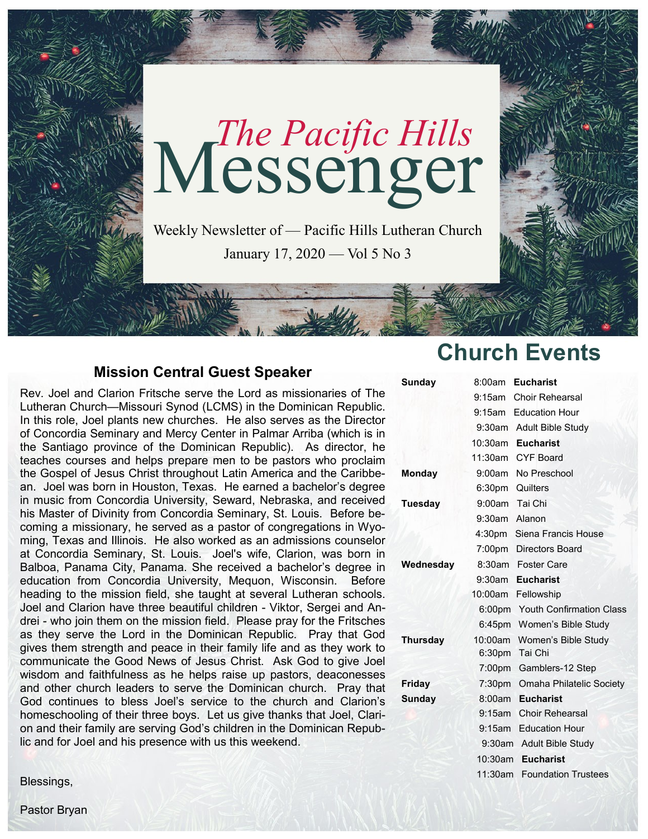

## **Mission Central Guest Speaker**

Rev. Joel and Clarion Fritsche serve the Lord as missionaries of The Lutheran Church—Missouri Synod (LCMS) in the Dominican Republic. In this role, Joel plants new churches. He also serves as the Director of Concordia Seminary and Mercy Center in Palmar Arriba (which is in the Santiago province of the Dominican Republic). As director, he teaches courses and helps prepare men to be pastors who proclaim the Gospel of Jesus Christ throughout Latin America and the Caribbean. Joel was born in Houston, Texas. He earned a bachelor's degree in music from Concordia University, Seward, Nebraska, and received his Master of Divinity from Concordia Seminary, St. Louis. Before becoming a missionary, he served as a pastor of congregations in Wyoming, Texas and Illinois. He also worked as an admissions counselor at Concordia Seminary, St. Louis. Joel's wife, Clarion, was born in Balboa, Panama City, Panama. She received a bachelor's degree in education from Concordia University, Mequon, Wisconsin. Before heading to the mission field, she taught at several Lutheran schools. Joel and Clarion have three beautiful children - Viktor, Sergei and Andrei - who join them on the mission field. Please pray for the Fritsches as they serve the Lord in the Dominican Republic. Pray that God gives them strength and peace in their family life and as they work to communicate the Good News of Jesus Christ. Ask God to give Joel wisdom and faithfulness as he helps raise up pastors, deaconesses and other church leaders to serve the Dominican church. Pray that God continues to bless Joel's service to the church and Clarion's homeschooling of their three boys. Let us give thanks that Joel, Clarion and their family are serving God's children in the Dominican Republic and for Joel and his presence with us this weekend.

Blessings,

# **Church Events**

| Sunday          | 8:00am             | <b>Eucharist</b>                |
|-----------------|--------------------|---------------------------------|
|                 |                    | 9:15am Choir Rehearsal          |
|                 |                    | 9:15am Education Hour           |
|                 |                    | 9:30am Adult Bible Study        |
|                 | 10:30am Eucharist  |                                 |
|                 |                    | 11:30am CYF Board               |
| Monday          |                    | 9:00am No Preschool             |
|                 | 6:30pm Quilters    |                                 |
| <b>Tuesday</b>  | 9:00am Tai Chi     |                                 |
|                 | 9:30am Alanon      |                                 |
|                 |                    | 4:30pm Siena Francis House      |
|                 |                    | 7:00pm Directors Board          |
| Wednesday       |                    | 8:30am Foster Care              |
|                 |                    | 9:30am Eucharist                |
|                 |                    | 10:00am Fellowship              |
|                 |                    | 6:00pm Youth Confirmation Class |
|                 |                    | 6:45pm Women's Bible Study      |
| <b>Thursday</b> |                    | 10:00am Women's Bible Study     |
|                 | 6:30pm             | Tai Chi                         |
|                 | 7:00pm             | Gamblers-12 Step                |
| Friday          | 7:30 <sub>pm</sub> | Omaha Philatelic Society        |
| <b>Sunday</b>   | 8:00am             | <b>Eucharist</b>                |
|                 | $9:15$ am          | <b>Choir Rehearsal</b>          |
|                 | $9:15$ am          | <b>Education Hour</b>           |
|                 |                    | 9:30am Adult Bible Study        |
|                 | $10:30$ am         | <b>Eucharist</b>                |
|                 | 11:30am            | <b>Foundation Trustees</b>      |

Pastor Bryan